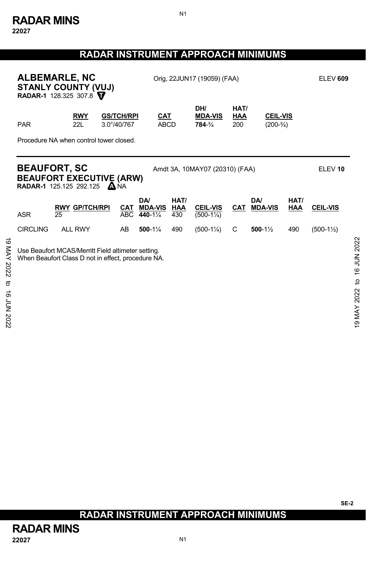# **RADAR INSTRUMENT APPROACH MINIMUMS**

N1

|                                             | <b>ALBEMARLE, NC</b><br>STANLY COUNTY (VUJ)<br>RADAR-1 128.325 307.8<br><b>RWY</b><br><b>GS/TCH/RPI</b><br>3.0°/40/767<br>22L<br><b>PAR</b> |                                         |                   |                                 | Orig, 22JUN17 (19059) (FAA) |                                         |                    |                                |             |                      | <b>ELEV 609</b>              |
|---------------------------------------------|---------------------------------------------------------------------------------------------------------------------------------------------|-----------------------------------------|-------------------|---------------------------------|-----------------------------|-----------------------------------------|--------------------|--------------------------------|-------------|----------------------|------------------------------|
|                                             |                                                                                                                                             |                                         |                   | <b>CAT</b><br><b>ABCD</b>       |                             | DH/<br><b>MDA-VIS</b><br>784-3/4        | HAT/<br>HAA<br>200 | <b>CEIL-VIS</b><br>$(200-3/4)$ |             |                      |                              |
|                                             |                                                                                                                                             | Procedure NA when control tower closed. |                   |                                 |                             |                                         |                    |                                |             |                      |                              |
|                                             | <b>BEAUFORT, SC</b><br><b>BEAUFORT EXECUTIVE (ARW)</b><br><b>RADAR-1</b> 125.125 292.125 ANA                                                |                                         |                   |                                 |                             | Amdt 3A, 10MAY07 (20310) (FAA)          |                    |                                |             | ELEV <sub>10</sub>   |                              |
|                                             | <b>ASR</b><br>25                                                                                                                            | <b>RWY GP/TCH/RPI</b>                   | CAT<br><b>ABC</b> | DA/<br><b>MDA-VIS</b><br>440-1% | HAT/<br>HAA<br>430          | <b>CEIL-VIS</b><br>$(500-1\frac{1}{4})$ | CAT                | DA/<br><b>MDA-VIS</b>          | HAT/<br>HAA | <b>CEIL-VIS</b>      |                              |
|                                             | <b>CIRCLING</b>                                                                                                                             | <b>ALL RWY</b>                          | AB                | 500-1%                          | 490                         | $(500-1\frac{1}{4})$                    | C                  | $500-1\frac{1}{2}$             | 490         | $(500-1\frac{1}{2})$ |                              |
| ಠ<br>XAM<br>2022<br>ಕ<br><b>16 JUN 2022</b> | Use Beaufort MCAS/Merritt Field altimeter setting.<br>When Beaufort Class D not in effect, procedure NA.                                    |                                         |                   |                                 |                             |                                         |                    |                                |             |                      | to 16 JUN 2022<br>9 MAY 2022 |

# **RADAR INSTRUMENT APPROACH MINIMUMS**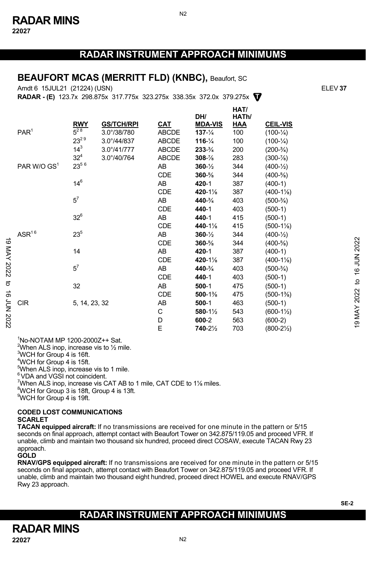**22027** 

## **RADAR INSTRUMENT APPROACH MINIMUMS**

N2

#### **BEAUFORT MCAS (MERRITT FLD) (KNBC),** Beaufort, SC

Amdt 6 15JUL21 (21224) (USN) ELEV **37**

**RADAR - (E)** 123.7x 298.875x 317.775x 323.275x 338.35x 372.0x 379.275x **T**

|            |                         |                 |                   |              | DH/                 | HAT/<br>HATh/ |                       |              |
|------------|-------------------------|-----------------|-------------------|--------------|---------------------|---------------|-----------------------|--------------|
|            |                         | <b>RWY</b>      | <b>GS/TCH/RPI</b> | <b>CAT</b>   | <b>MDA-VIS</b>      | <b>HAA</b>    | <b>CEIL-VIS</b>       |              |
|            | PAR <sup>1</sup>        | $5^{28}$        | 3.0°/38/780       | ABCDE        | $137 - \frac{1}{4}$ | 100           | $(100 - \frac{1}{4})$ |              |
|            |                         | $23^{29}$       | 3.0°/44/837       | <b>ABCDE</b> | $116 - \frac{1}{4}$ | 100           | $(100-1/4)$           |              |
|            |                         | $14^{3}$        | 3.0°/41/777       | <b>ABCDE</b> | $233 - \frac{3}{4}$ | 200           | $(200-3/4)$           |              |
|            |                         | 32 <sup>4</sup> | 3.0°/40/764       | <b>ABCDE</b> | $308 - \%$          | 283           | $(300 - \frac{7}{8})$ |              |
|            | PAR W/O GS <sup>1</sup> | $23^{56}$       |                   | AB           | $360 - \frac{1}{2}$ | 344           | $(400 - \frac{1}{2})$ |              |
|            |                         |                 |                   | <b>CDE</b>   | $360 - \%$          | 344           | $(400-5/8)$           |              |
|            |                         | $14^{6}$        |                   | AB           | 420-1               | 387           | $(400-1)$             |              |
|            |                         |                 |                   | <b>CDE</b>   | 420-1%              | 387           | $(400-1\%)$           |              |
|            |                         | $5^7$           |                   | AB           | 440-3/4             | 403           | $(500-3/4)$           |              |
|            |                         |                 |                   | <b>CDE</b>   | 440-1               | 403           | $(500-1)$             |              |
|            |                         | $32^6$          |                   | AB           | 440-1               | 415           | $(500-1)$             |              |
|            |                         |                 |                   | <b>CDE</b>   | 440-1%              | 415           | $(500-1\%)$           |              |
|            | $\mathsf{ASR}^{16}$     | $23^{5}$        |                   | AB           | $360 - \frac{1}{2}$ | 344           | $(400-1/2)$           |              |
|            |                         |                 |                   | <b>CDE</b>   | $360 - \%$          | 344           | $(400-5/8)$           | 16 JUN 2022  |
| 8 MAY 2022 |                         | 14              |                   | AB           | 420-1               | 387           | $(400-1)$             |              |
|            |                         |                 |                   | <b>CDE</b>   | 420-1%              | 387           | $(400-1\%)$           |              |
|            |                         | $5^7$           |                   | AB           | 440-3/4             | 403           | $(500-3/4)$           |              |
|            |                         |                 |                   | <b>CDE</b>   | 440-1               | 403           | $(500-1)$             |              |
| ಕ          |                         | 32              |                   | AB           | $500-1$             | 475           | $(500-1)$             | $\mathbf{c}$ |
| ಹೆ         |                         |                 |                   | CDE          | 500-1%              | 475           | $(500-1\%)$           | 2022         |
|            | <b>CIR</b>              | 5, 14, 23, 32   |                   | AB           | $500-1$             | 463           | $(500-1)$             |              |
|            |                         |                 |                   | C            | 580-1½              | 543           | $(600-1\frac{1}{2})$  | MAY          |
| 2023 NO    |                         |                 |                   | D            | 600-2               | 563           | $(600-2)$             |              |
|            |                         |                 |                   | E            | 740-21/2            | 703           | $(800-2\frac{1}{2})$  | 19           |
|            |                         |                 |                   |              |                     |               |                       |              |

1 No-NOTAM MP 1200-2000Z++ Sat.  $^2$ When ALS inop, increase vis to  $\frac{1}{2}$  mile. 3 WCH for Group 4 is 16ft. 4 WCH for Group 4 is 15ft. <sup>5</sup>When ALS inop, increase vis to 1 mile. <sup>6</sup> VDA and VGSI not coincident. When ALS inop, increase vis CAT AB to 1 mile, CAT CDE to 1¼ miles.<br><sup>8</sup>WCH for Croup 3 is 18th Croup 4 is 12th <sup>8</sup>WCH for Group 3 is 18ft, Group 4 is 13ft. 9 WCH for Group 4 is 19ft.

#### **CODED LOST COMMUNICATIONS SCARLET**

**TACAN equipped aircraft:** If no transmissions are received for one minute in the pattern or 5/15 seconds on final approach, attempt contact with Beaufort Tower on 342.875/119.05 and proceed VFR. If unable, climb and maintain two thousand six hundred, proceed direct COSAW, execute TACAN Rwy 23 approach.

#### **GOLD**

**RNAV/GPS equipped aircraft:** If no transmissions are received for one minute in the pattern or 5/15 seconds on final approach, attempt contact with Beaufort Tower on 342.875/119.05 and proceed VFR. If unable, climb and maintain two thousand eight hundred, proceed direct HOWEL and execute RNAV/GPS Rwy 23 approach.

## **RADAR INSTRUMENT APPROACH MINIMUMS**

**SE-2**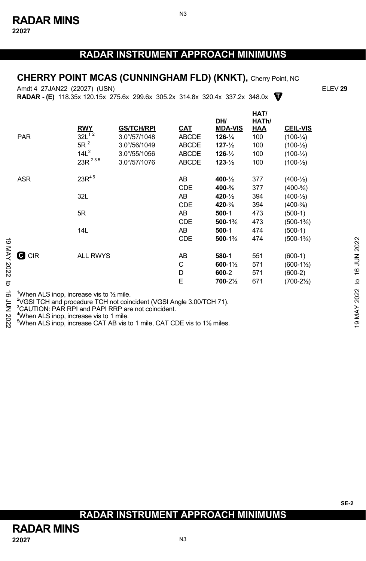**RADAR INSTRUMENT APPROACH MINIMUMS** 

#### **CHERRY POINT MCAS (CUNNINGHAM FLD) (KNKT),** Cherry Point, NC

**T RADAR - (E)** 118.35x 120.15x 275.6x 299.6x 305.2x 314.8x 320.4x 337.2x 348.0x Amdt 4 27JAN22 (22027) (USN) ELEV **29**

|                      | <b>PAR</b>                                                                                                                                                                                                                                                                                                                                                              | <b>RWY</b><br>$32L^{12}$<br>$5R^2$<br>14L <sup>2</sup> | <b>GS/TCH/RPI</b><br>3.0°/57/1048<br>$3.0^{\circ}/56/1049$<br>$3.0^{\circ}/55/1056$ | CAT<br><b>ABCDE</b><br>ABCDE<br><b>ABCDE</b> | DH/<br><b>MDA-VIS</b><br>$126 - \frac{1}{4}$<br>$127 - \frac{1}{2}$<br>$126 - \frac{1}{2}$ | HAT/<br>HATh/<br>HAA<br>100<br>100<br>100 | <b>CEIL-VIS</b><br>$(100 - \frac{1}{4})$<br>$(100 - \frac{1}{2})$<br>$(100 - \frac{1}{2})$ |                                |
|----------------------|-------------------------------------------------------------------------------------------------------------------------------------------------------------------------------------------------------------------------------------------------------------------------------------------------------------------------------------------------------------------------|--------------------------------------------------------|-------------------------------------------------------------------------------------|----------------------------------------------|--------------------------------------------------------------------------------------------|-------------------------------------------|--------------------------------------------------------------------------------------------|--------------------------------|
|                      |                                                                                                                                                                                                                                                                                                                                                                         | 23R 235                                                | 3.0°/57/1076                                                                        | <b>ABCDE</b>                                 | $123 - \frac{1}{2}$                                                                        | 100                                       | $(100 - \frac{1}{2})$                                                                      |                                |
|                      | <b>ASR</b>                                                                                                                                                                                                                                                                                                                                                              | $23R^{45}$                                             |                                                                                     | AB<br><b>CDE</b>                             | $400 - \frac{1}{2}$<br>400-%                                                               | 377<br>377                                | $(400 - \frac{1}{2})$<br>$(400-5/8)$                                                       |                                |
|                      |                                                                                                                                                                                                                                                                                                                                                                         | 32L                                                    |                                                                                     | AB<br><b>CDE</b>                             | $420 - \frac{1}{2}$<br>420-%                                                               | 394<br>394                                | $(400-1/2)$<br>$(400 - \frac{5}{8})$                                                       |                                |
|                      |                                                                                                                                                                                                                                                                                                                                                                         | 5R                                                     |                                                                                     | AB<br><b>CDE</b>                             | $500-1$<br>$500-1%$                                                                        | 473<br>473                                | $(500-1)$<br>$(500-1\%)$                                                                   |                                |
| $\vec{0}$            |                                                                                                                                                                                                                                                                                                                                                                         | 14L                                                    |                                                                                     | AB.<br><b>CDE</b>                            | $500-1$<br>$500-1%$                                                                        | 474<br>474                                | $(500-1)$<br>$(500-1\%)$                                                                   | 2022                           |
| MAY 2022<br>ಕ        | <b>C</b> CIR                                                                                                                                                                                                                                                                                                                                                            | <b>ALL RWYS</b>                                        |                                                                                     | AB<br>C<br>D<br>E                            | 580-1<br>$600 - 1\%$<br>600-2<br>700-21/2                                                  | 551<br>571<br>571<br>671                  | $(600-1)$<br>$(600-1\frac{1}{2})$<br>$(600-2)$<br>$(700-2\frac{1}{2})$                     | <b>ALIT 91</b><br>$\mathbf{c}$ |
| ಹೆ<br>έ<br>Σ<br>2022 | When ALS inop, increase vis to 1/2 mile.<br><sup>2</sup> VGSI TCH and procedure TCH not coincident (VGSI Angle 3.00/TCH 71).<br><sup>3</sup> CAUTION: PAR RPI and PAPI RRP are not coincident.<br><sup>4</sup> When ALS inop, increase vis to 1 mile.<br><sup>5</sup> When ALS inop, increase CAT AB vis to 1 mile, CAT CDE vis to 1 <sup>1</sup> / <sub>8</sub> miles. |                                                        |                                                                                     |                                              |                                                                                            |                                           |                                                                                            | 19 MAY 2022                    |

# **RADAR INSTRUMENT APPROACH MINIMUMS**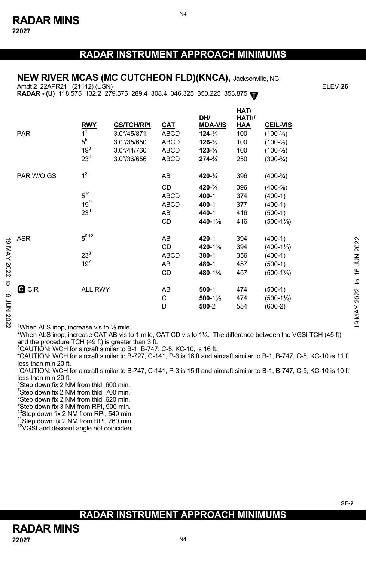**22027** 

### **RADAR INSTRUMENT APPROACH MINIMUMS**

**HAT/**

N4

#### **NEW RIVER MCAS (MC CUTCHEON FLD)(KNCA),** Jacksonville, NC

Amdt 2 22APR21 (21112) (USN) ELEV **26**

**RADAR - (U)** 118.575 132.2 279.575 289.4 308.4 346.325 350.225 353.875 **T**

|                   | <b>PAR</b>                                   | <b>RWY</b><br>1 <sup>1</sup><br>5 <sup>5</sup><br>$19^{3}$<br>$23^{4}$ | <b>GS/TCH/RPI</b><br>$3.0^{\circ}/45/871$<br>$3.0^{\circ}/35/650$<br>$3.0^{\circ}/41/760$<br>$3.0^{\circ}/36/656$ | CAT<br><b>ABCD</b><br>ABCD<br>ABCD<br><b>ABCD</b> | DH/<br><b>MDA-VIS</b><br>$124 - \frac{1}{4}$<br>$126 - \frac{1}{2}$<br>$123 - \frac{1}{2}$<br>$274 - 3/4$ | <b>DAU</b><br>HATh/<br><b>HAA</b><br>100<br>100<br>100<br>250 | <b>CEIL-VIS</b><br>$(100 - \frac{1}{4})$<br>$(100 - \frac{1}{2})$<br>$(100 - \frac{1}{2})$<br>$(300-3/4)$ |                                         |
|-------------------|----------------------------------------------|------------------------------------------------------------------------|-------------------------------------------------------------------------------------------------------------------|---------------------------------------------------|-----------------------------------------------------------------------------------------------------------|---------------------------------------------------------------|-----------------------------------------------------------------------------------------------------------|-----------------------------------------|
|                   | PAR W/O GS                                   | 1 <sup>2</sup>                                                         |                                                                                                                   | AB                                                | $420 - \frac{3}{4}$                                                                                       | 396                                                           | $(400-3/4)$                                                                                               |                                         |
|                   |                                              | $5^{10}$<br>$19^{11}$<br>$23^9$                                        |                                                                                                                   | CD<br><b>ABCD</b><br><b>ABCD</b><br>AB<br>CD      | $420 - \%$<br>400-1<br>400-1<br>440-1<br>440-1%                                                           | 396<br>374<br>377<br>416<br>416                               | $(400 - \frac{7}{8})$<br>$(400-1)$<br>$(400-1)$<br>$(500-1)$<br>$(500-1\%)$                               |                                         |
| ಠ<br>MAY 2022     | ASR                                          | $5^{6}$ 12<br>$23^{8}$<br>$19^{7}$                                     |                                                                                                                   | AB<br>CD<br><b>ABCD</b><br>AB<br>CD               | 420-1<br>420-1%<br>380-1<br>480-1<br>480-1%                                                               | 394<br>394<br>356<br>457<br>457                               | $(400-1)$<br>$(400-1\%)$<br>$(400-1)$<br>$(500-1)$<br>$(500-1\%)$                                         | 2022<br><b>NUN 91</b>                   |
| ಕ<br>ಕ<br>2023 NO | <b>G</b> CIR                                 | ALL RWY                                                                |                                                                                                                   | AB<br>С<br>D                                      | $500-1$<br>$500-1\frac{1}{2}$<br>580-2                                                                    | 474<br>474<br>554                                             | $(500-1)$<br>$(500-1\frac{1}{2})$<br>$(600-2)$                                                            | $\overline{c}$<br>2022<br><b>T9 MAY</b> |
|                   | $1$ When ALS inon increase vis to $1/2$ mile |                                                                        |                                                                                                                   |                                                   |                                                                                                           |                                                               |                                                                                                           |                                         |

<sup>1</sup>When ALS inop, increase vis to  $\frac{1}{2}$  mile.

2 When ALS inop, increase CAT AB vis to 1 mile, CAT CD vis to 1⅛. The difference between the VGSI TCH (45 ft) and the procedure TCH (49 ft) is greater than 3 ft.

 $^{3}$ CAUTION: WCH for aircraft similar to B-1, B-747, C-5, KC-10, is 16 ft.<br> $^{4}$ CAUTION: WCH for girareft similar to B-727, C-141, B-3 is 16 ft and sit

 $^4$ CAUTION: WCH for aircraft similar to B-727, C-141, P-3 is 16 ft and aircraft similar to B-1, B-747, C-5, KC-10 is 11 ft less than min 20 ft.

 $^5$ CAUTION: WCH for aircraft similar to B-747, C-141, P-3 is 15 ft and aircraft similar to B-1, B-747, C-5, KC-10 is 10 ft less than min 20 ft.

 $\mathrm{^{6}S}$ tep down fix 2 NM from thld, 600 min.

 $7$ Step down fix 2 NM from thld, 700 min.

 $8$ Step down fix 2 NM from thld, 620 min.

9 Step down fix 3 NM from RPI, 900 min.

 $^{10}$ Step down fix 2 NM from RPI, 540 min.<br> $^{11}$ Step down fix 2 NM from RPI, 760 min.<br> $^{12}$ VGSI and descent angle not coincident.

**SE-2** 

## **RADAR INSTRUMENT APPROACH MINIMUMS**